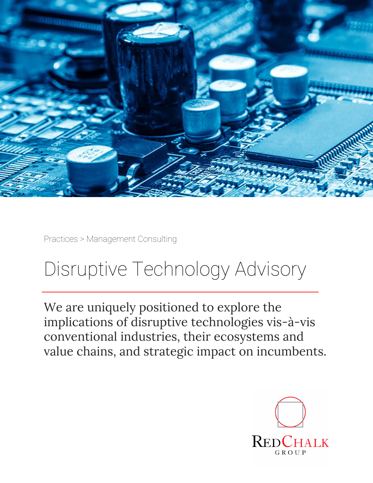

Practices > Management Consulting

## Disruptive Technology Advisory

We are uniquely positioned to explore the implications of disruptive technologies vis-à-vis conventional industries, their ecosystems and value chains, and strategic impact on incumbents.

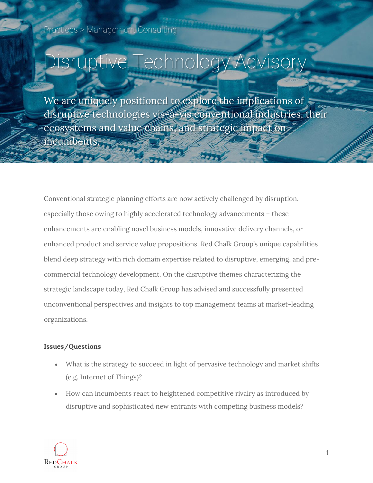# Disruptive Technology Advisory

We are uniquely positioned to explore the implications of disruptive technologies vis-à-vis conventional industries, their ecosystems and value chains, and strategic impact on incumbents.

Conventional strategic planning efforts are now actively challenged by disruption, especially those owing to highly accelerated technology advancements – these enhancements are enabling novel business models, innovative delivery channels, or enhanced product and service value propositions. Red Chalk Group's unique capabilities blend deep strategy with rich domain expertise related to disruptive, emerging, and precommercial technology development. On the disruptive themes characterizing the strategic landscape today, Red Chalk Group has advised and successfully presented unconventional perspectives and insights to top management teams at market-leading organizations.

#### **Issues/Questions**

- What is the strategy to succeed in light of pervasive technology and market shifts (e.g. Internet of Things)?
- How can incumbents react to heightened competitive rivalry as introduced by disruptive and sophisticated new entrants with competing business models?

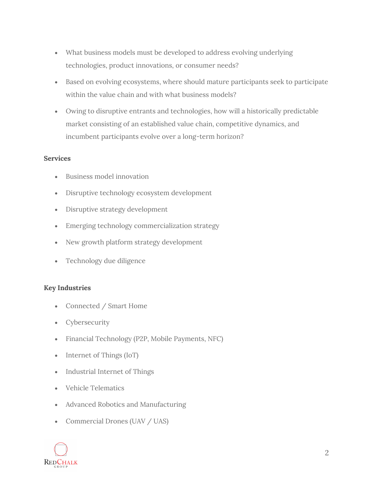- What business models must be developed to address evolving underlying technologies, product innovations, or consumer needs?
- Based on evolving ecosystems, where should mature participants seek to participate within the value chain and with what business models?
- Owing to disruptive entrants and technologies, how will a historically predictable market consisting of an established value chain, competitive dynamics, and incumbent participants evolve over a long-term horizon?

#### **Services**

- Business model innovation
- Disruptive technology ecosystem development
- Disruptive strategy development
- Emerging technology commercialization strategy
- New growth platform strategy development
- Technology due diligence

#### **Key Industries**

- Connected / Smart Home
- Cybersecurity
- Financial Technology (P2P, Mobile Payments, NFC)
- Internet of Things (IoT)
- Industrial Internet of Things
- Vehicle Telematics
- Advanced Robotics and Manufacturing
- Commercial Drones (UAV / UAS)

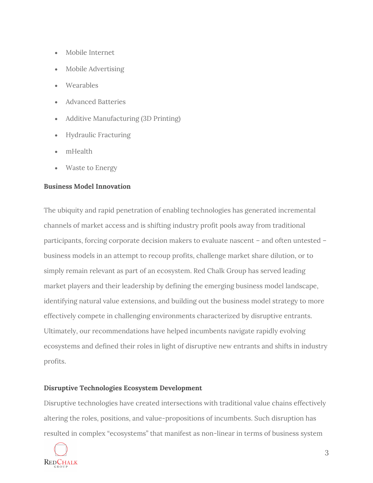- Mobile Internet
- Mobile Advertising
- Wearables
- Advanced Batteries
- Additive Manufacturing (3D Printing)
- Hydraulic Fracturing
- mHealth
- Waste to Energy

#### **Business Model Innovation**

The ubiquity and rapid penetration of enabling technologies has generated incremental channels of market access and is shifting industry profit pools away from traditional participants, forcing corporate decision makers to evaluate nascent – and often untested – business models in an attempt to recoup profits, challenge market share dilution, or to simply remain relevant as part of an ecosystem. Red Chalk Group has served leading market players and their leadership by defining the emerging business model landscape, identifying natural value extensions, and building out the business model strategy to more effectively compete in challenging environments characterized by disruptive entrants. Ultimately, our recommendations have helped incumbents navigate rapidly evolving ecosystems and defined their roles in light of disruptive new entrants and shifts in industry profits.

#### **Disruptive Technologies Ecosystem Development**

Disruptive technologies have created intersections with traditional value chains effectively altering the roles, positions, and value-propositions of incumbents. Such disruption has resulted in complex "ecosystems" that manifest as non-linear in terms of business system

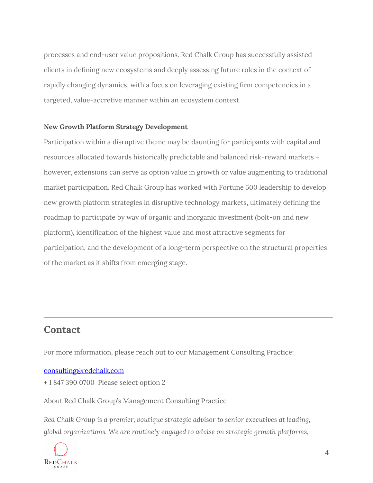processes and end-user value propositions. Red Chalk Group has successfully assisted clients in defining new ecosystems and deeply assessing future roles in the context of rapidly changing dynamics, with a focus on leveraging existing firm competencies in a targeted, value-accretive manner within an ecosystem context.

#### **New Growth Platform Strategy Development**

Participation within a disruptive theme may be daunting for participants with capital and resources allocated towards historically predictable and balanced risk-reward markets – however, extensions can serve as option value in growth or value augmenting to traditional market participation. Red Chalk Group has worked with Fortune 500 leadership to develop new growth platform strategies in disruptive technology markets, ultimately defining the roadmap to participate by way of organic and inorganic investment (bolt-on and new platform), identification of the highest value and most attractive segments for participation, and the development of a long-term perspective on the structural properties of the market as it shifts from emerging stage.

### **Contact**

For more information, please reach out to our Management Consulting Practice:

#### [consulting@redchalk.com](mailto:consulting@redchalk.com)

+ 1 847 390 0700 Please select option 2

About Red Chalk Group's Management Consulting Practice

*Red Chalk Group is a premier, boutique strategic advisor to senior executives at leading, global organizations. We are routinely engaged to advise on strategic growth platforms,*